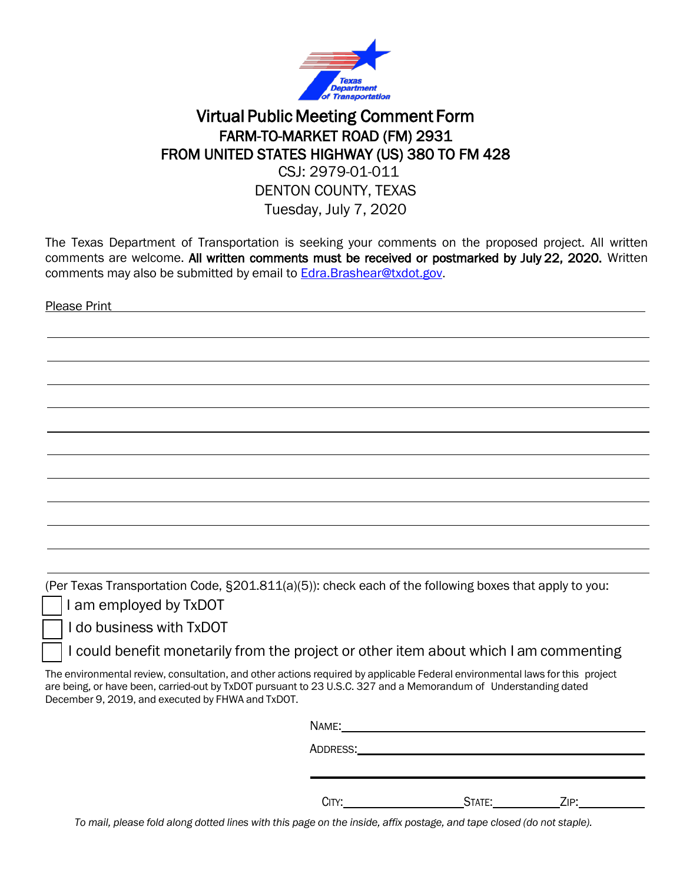

## Virtual Public Meeting Comment Form FARM-TO-MARKET ROAD (FM) 2931 FROM UNITED STATES HIGHWAY (US) 380 TO FM 428 CSJ: 2979-01-011

## DENTON COUNTY, TEXAS

Tuesday, July 7, 2020

The Texas Department of Transportation is seeking your comments on the proposed project. All written comments are welcome. All written comments must be received or postmarked by July 22, 2020. Written comments may also be submitted by email to [Edra.Brashear@txdot.gov.](mailto:Edra.Brashear@txdot.gov)

Please Print

(Per Texas Transportation Code, §201.811(a)(5)): check each of the following boxes that apply to you:

I am employed by TxDOT

❑ I do business with TxDOT

I could benefit monetarily from the project or other item about which I am commenting

The environmental review, consultation, and other actions required by applicable Federal environmental laws for this project are being, or have been, carried-out by TxDOT pursuant to 23 U.S.C. 327 and a Memorandum of Understanding dated December 9, 2019, and executed by FHWA and TxDOT.

| CITY: | State:_______________Zip:_ |  |
|-------|----------------------------|--|

To mail, please fold along dotted lines with this page on the inside, affix postage, and tape closed (do not staple).